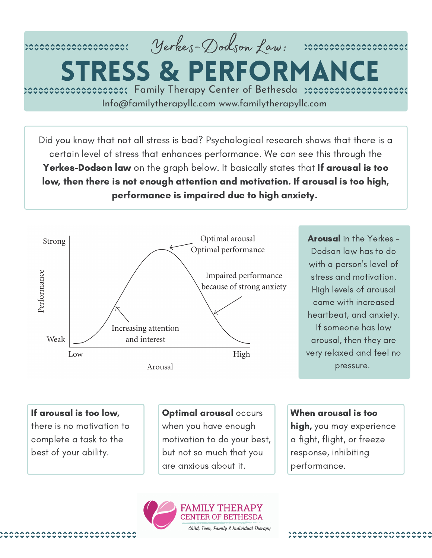

**STRESS & PERFORMAN** 

rececceccecceccoce: Family Therapy Center of Bethesda rececceccecceccecccecc Info@familytherapyllc.com www.familytherapyllc.com

Did you know that not all stress is bad? Psychological research shows that there is a certain level of stress that enhances performance. We can see this through the Yerkes-Dodson law on the graph below. It basically states that If arousal is too low, then there is not enough attention and motivation. If arousal is too high, performance is impaired due to high anxiety.



Arousal in the Yerkes -Dodson law has to do with a person's level of stress and motivation. High levels of arousal come with increased heartbeat, and anxiety. If someone has low arousal, then they are very relaxed and feel no pressure.

If arousal is too low,

there is no motivation to complete a task to the best of your ability.

Optimal arousal occurs when you have enough motivation to do your best, but not so much that you are anxious about it.

When arousal is too

high, you may experience a fight, flight, or freeze response, inhibiting performance.